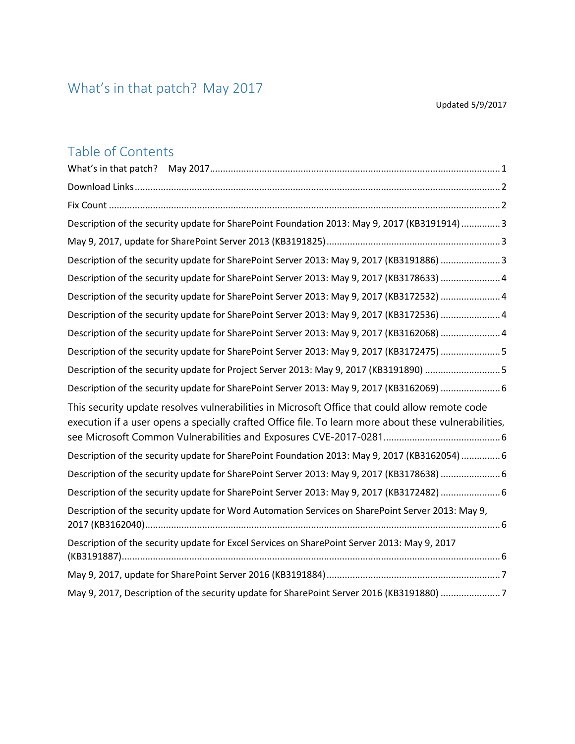# <span id="page-0-0"></span>What's in that patch? May 2017

### Table of Contents

| Description of the security update for SharePoint Foundation 2013: May 9, 2017 (KB3191914)  3                                                                                                           |
|---------------------------------------------------------------------------------------------------------------------------------------------------------------------------------------------------------|
|                                                                                                                                                                                                         |
| Description of the security update for SharePoint Server 2013: May 9, 2017 (KB3191886) 3                                                                                                                |
| Description of the security update for SharePoint Server 2013: May 9, 2017 (KB3178633)  4                                                                                                               |
| Description of the security update for SharePoint Server 2013: May 9, 2017 (KB3172532) 4                                                                                                                |
| Description of the security update for SharePoint Server 2013: May 9, 2017 (KB3172536) 4                                                                                                                |
| Description of the security update for SharePoint Server 2013: May 9, 2017 (KB3162068) 4                                                                                                                |
| Description of the security update for SharePoint Server 2013: May 9, 2017 (KB3172475) 5                                                                                                                |
| Description of the security update for Project Server 2013: May 9, 2017 (KB3191890) 5                                                                                                                   |
| Description of the security update for SharePoint Server 2013: May 9, 2017 (KB3162069) 6                                                                                                                |
| This security update resolves vulnerabilities in Microsoft Office that could allow remote code<br>execution if a user opens a specially crafted Office file. To learn more about these vulnerabilities, |
| Description of the security update for SharePoint Foundation 2013: May 9, 2017 (KB3162054)  6                                                                                                           |
| Description of the security update for SharePoint Server 2013: May 9, 2017 (KB3178638) 6                                                                                                                |
| Description of the security update for SharePoint Server 2013: May 9, 2017 (KB3172482) 6                                                                                                                |
| Description of the security update for Word Automation Services on SharePoint Server 2013: May 9,                                                                                                       |
| Description of the security update for Excel Services on SharePoint Server 2013: May 9, 2017                                                                                                            |
|                                                                                                                                                                                                         |
| May 9, 2017, Description of the security update for SharePoint Server 2016 (KB3191880) 7                                                                                                                |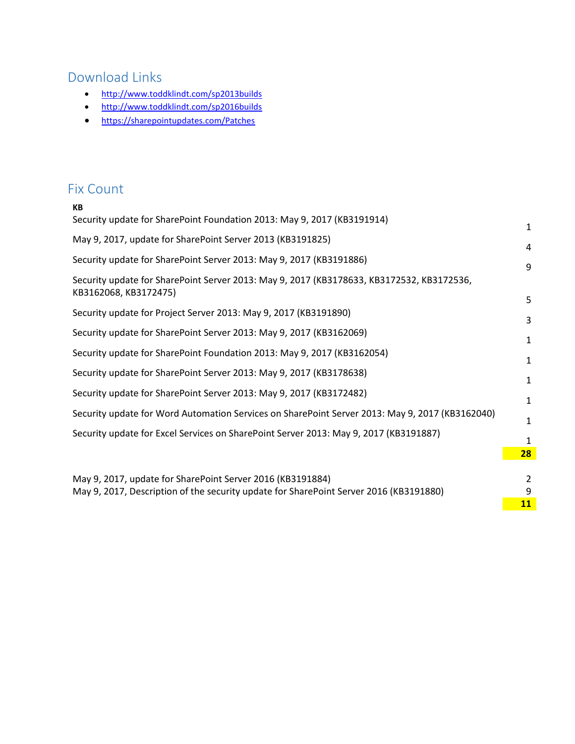## <span id="page-1-0"></span>Download Links

- <http://www.toddklindt.com/sp2013builds>
- <http://www.toddklindt.com/sp2016builds>
- <https://sharepointupdates.com/Patches>

#### <span id="page-1-1"></span>Fix Count

| КB                                                                                                                                                   |               |
|------------------------------------------------------------------------------------------------------------------------------------------------------|---------------|
| Security update for SharePoint Foundation 2013: May 9, 2017 (KB3191914)                                                                              | $\mathbf{1}$  |
| May 9, 2017, update for SharePoint Server 2013 (KB3191825)                                                                                           | 4             |
| Security update for SharePoint Server 2013: May 9, 2017 (KB3191886)                                                                                  | 9             |
| Security update for SharePoint Server 2013: May 9, 2017 (KB3178633, KB3172532, KB3172536,<br>KB3162068, KB3172475)                                   | 5             |
| Security update for Project Server 2013: May 9, 2017 (KB3191890)                                                                                     | 3             |
| Security update for SharePoint Server 2013: May 9, 2017 (KB3162069)                                                                                  | $\mathbf{1}$  |
| Security update for SharePoint Foundation 2013: May 9, 2017 (KB3162054)                                                                              | $\mathbf{1}$  |
| Security update for SharePoint Server 2013: May 9, 2017 (KB3178638)                                                                                  | 1             |
| Security update for SharePoint Server 2013: May 9, 2017 (KB3172482)                                                                                  | 1             |
| Security update for Word Automation Services on SharePoint Server 2013: May 9, 2017 (KB3162040)                                                      | 1             |
| Security update for Excel Services on SharePoint Server 2013: May 9, 2017 (KB3191887)                                                                | 1             |
|                                                                                                                                                      | 28            |
|                                                                                                                                                      |               |
| May 9, 2017, update for SharePoint Server 2016 (KB3191884)<br>May 9, 2017, Description of the security update for SharePoint Server 2016 (KB3191880) | $\mathcal{P}$ |
|                                                                                                                                                      | 9<br>11       |
|                                                                                                                                                      |               |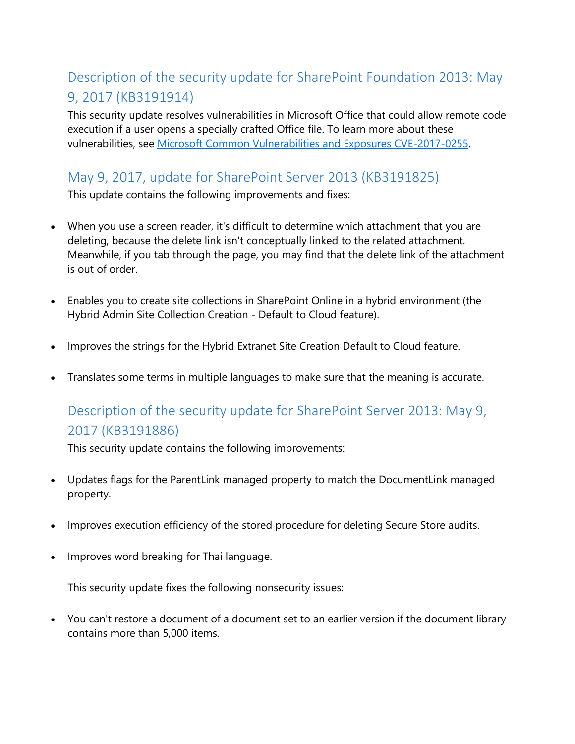### <span id="page-2-0"></span>Description of the security update for SharePoint Foundation 2013: May 9, 2017 (KB3191914)

This security update resolves vulnerabilities in Microsoft Office that could allow remote code execution if a user opens a specially crafted Office file. To learn more about these vulnerabilities, see [Microsoft Common Vulnerabilities and Exposures CVE-2017-0255.](https://portal.msrc.microsoft.com/en-US/security-guidance/advisory/CVE-2017-0255)

#### <span id="page-2-1"></span>May 9, 2017, update for SharePoint Server 2013 (KB3191825)

This update contains the following improvements and fixes:

- When you use a screen reader, it's difficult to determine which attachment that you are deleting, because the delete link isn't conceptually linked to the related attachment. Meanwhile, if you tab through the page, you may find that the delete link of the attachment is out of order.
- Enables you to create site collections in SharePoint Online in a hybrid environment (the Hybrid Admin Site Collection Creation - Default to Cloud feature).
- Improves the strings for the Hybrid Extranet Site Creation Default to Cloud feature.
- Translates some terms in multiple languages to make sure that the meaning is accurate.

### <span id="page-2-2"></span>Description of the security update for SharePoint Server 2013: May 9, 2017 (KB3191886)

This security update contains the following improvements:

- Updates flags for the ParentLink managed property to match the DocumentLink managed property.
- Improves execution efficiency of the stored procedure for deleting Secure Store audits.
- Improves word breaking for Thai language.

This security update fixes the following nonsecurity issues:

• You can't restore a document of a document set to an earlier version if the document library contains more than 5,000 items.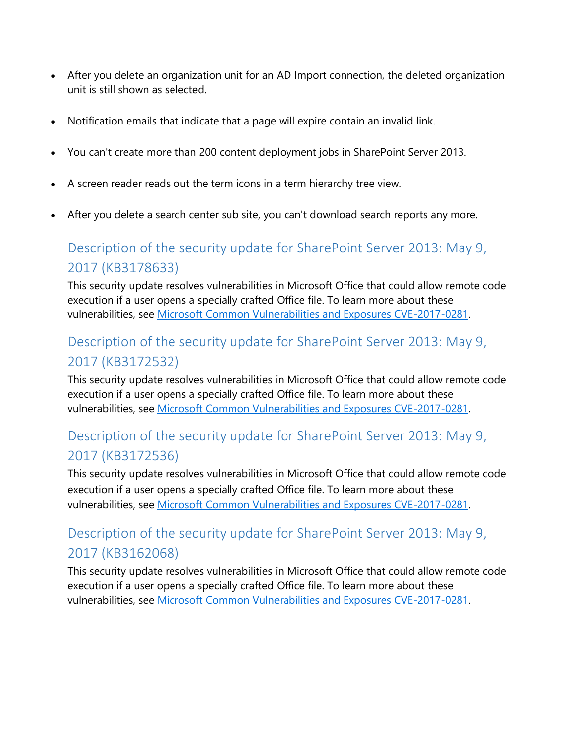- After you delete an organization unit for an AD Import connection, the deleted organization unit is still shown as selected.
- Notification emails that indicate that a page will expire contain an invalid link.
- You can't create more than 200 content deployment jobs in SharePoint Server 2013.
- A screen reader reads out the term icons in a term hierarchy tree view.
- After you delete a search center sub site, you can't download search reports any more.

### <span id="page-3-0"></span>Description of the security update for SharePoint Server 2013: May 9, 2017 (KB3178633)

This security update resolves vulnerabilities in Microsoft Office that could allow remote code execution if a user opens a specially crafted Office file. To learn more about these vulnerabilities, see [Microsoft Common Vulnerabilities and Exposures CVE-2017-0281.](https://portal.msrc.microsoft.com/en-US/security-guidance/advisory/CVE-2017-0281)

### <span id="page-3-1"></span>Description of the security update for SharePoint Server 2013: May 9, 2017 (KB3172532)

This security update resolves vulnerabilities in Microsoft Office that could allow remote code execution if a user opens a specially crafted Office file. To learn more about these vulnerabilities, see [Microsoft Common Vulnerabilities and Exposures CVE-2017-0281.](https://portal.msrc.microsoft.com/en-US/security-guidance/advisory/CVE-2017-0281)

#### <span id="page-3-2"></span>Description of the security update for SharePoint Server 2013: May 9, 2017 (KB3172536)

This security update resolves vulnerabilities in Microsoft Office that could allow remote code execution if a user opens a specially crafted Office file. To learn more about these vulnerabilities, see [Microsoft Common Vulnerabilities and Exposures CVE-2017-0281.](https://portal.msrc.microsoft.com/en-US/security-guidance/advisory/CVE-2017-0281)

### <span id="page-3-3"></span>Description of the security update for SharePoint Server 2013: May 9, 2017 (KB3162068)

This security update resolves vulnerabilities in Microsoft Office that could allow remote code execution if a user opens a specially crafted Office file. To learn more about these vulnerabilities, see [Microsoft Common Vulnerabilities and Exposures CVE-2017-0281.](https://portal.msrc.microsoft.com/en-US/security-guidance/advisory/CVE-2017-0281)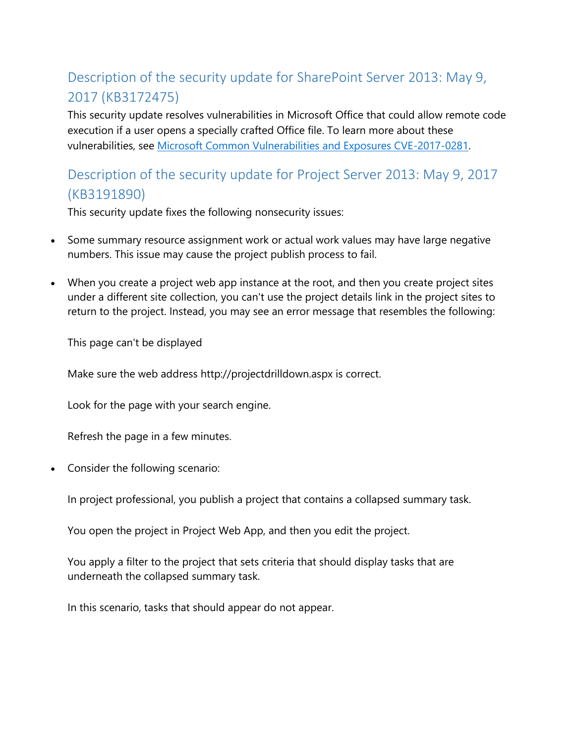## <span id="page-4-0"></span>Description of the security update for SharePoint Server 2013: May 9, 2017 (KB3172475)

This security update resolves vulnerabilities in Microsoft Office that could allow remote code execution if a user opens a specially crafted Office file. To learn more about these vulnerabilities, see [Microsoft Common Vulnerabilities and Exposures CVE-2017-0281.](https://portal.msrc.microsoft.com/en-US/security-guidance/advisory/CVE-2017-0281)

### <span id="page-4-1"></span>Description of the security update for Project Server 2013: May 9, 2017 (KB3191890)

This security update fixes the following nonsecurity issues:

- Some summary resource assignment work or actual work values may have large negative numbers. This issue may cause the project publish process to fail.
- When you create a project web app instance at the root, and then you create project sites under a different site collection, you can't use the project details link in the project sites to return to the project. Instead, you may see an error message that resembles the following:

This page can't be displayed

Make sure the web address http://projectdrilldown.aspx is correct.

Look for the page with your search engine.

Refresh the page in a few minutes.

• Consider the following scenario:

In project professional, you publish a project that contains a collapsed summary task.

You open the project in Project Web App, and then you edit the project.

You apply a filter to the project that sets criteria that should display tasks that are underneath the collapsed summary task.

In this scenario, tasks that should appear do not appear.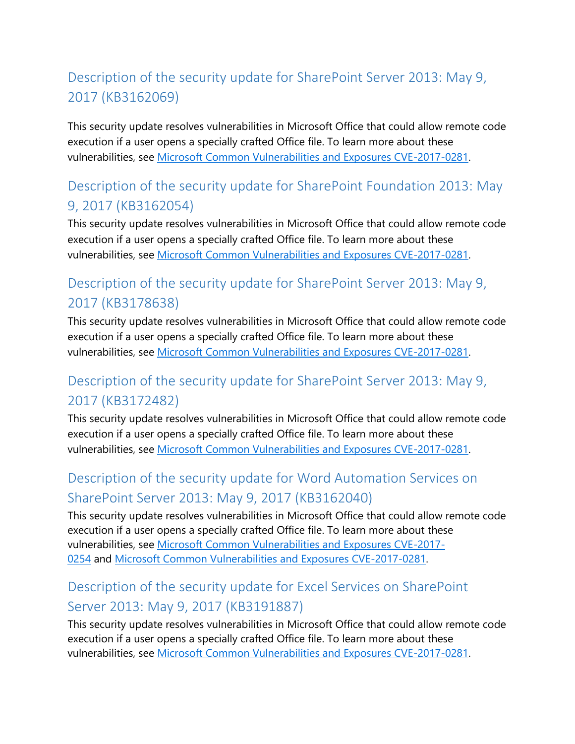## <span id="page-5-0"></span>Description of the security update for SharePoint Server 2013: May 9, 2017 (KB3162069)

<span id="page-5-1"></span>This security update resolves vulnerabilities in Microsoft Office that could allow remote code execution if a user opens a specially crafted Office file. To learn more about these vulnerabilities, see [Microsoft Common Vulnerabilities and Exposures CVE-2017-0281.](https://portal.msrc.microsoft.com/en-US/security-guidance/advisory/CVE-2017-0281)

### <span id="page-5-2"></span>Description of the security update for SharePoint Foundation 2013: May 9, 2017 (KB3162054)

This security update resolves vulnerabilities in Microsoft Office that could allow remote code execution if a user opens a specially crafted Office file. To learn more about these vulnerabilities, see [Microsoft Common Vulnerabilities and Exposures CVE-2017-0281.](https://portal.msrc.microsoft.com/en-US/security-guidance/advisory/CVE-2017-0281)

### <span id="page-5-3"></span>Description of the security update for SharePoint Server 2013: May 9, 2017 (KB3178638)

This security update resolves vulnerabilities in Microsoft Office that could allow remote code execution if a user opens a specially crafted Office file. To learn more about these vulnerabilities, see [Microsoft Common Vulnerabilities and Exposures CVE-2017-0281.](https://portal.msrc.microsoft.com/en-US/security-guidance/advisory/CVE-2017-0281)

### <span id="page-5-4"></span>Description of the security update for SharePoint Server 2013: May 9, 2017 (KB3172482)

This security update resolves vulnerabilities in Microsoft Office that could allow remote code execution if a user opens a specially crafted Office file. To learn more about these vulnerabilities, see [Microsoft Common Vulnerabilities and Exposures CVE-2017-0281.](https://portal.msrc.microsoft.com/en-US/security-guidance/advisory/CVE-2017-0281)

### <span id="page-5-5"></span>Description of the security update for Word Automation Services on SharePoint Server 2013: May 9, 2017 (KB3162040)

This security update resolves vulnerabilities in Microsoft Office that could allow remote code execution if a user opens a specially crafted Office file. To learn more about these vulnerabilities, see [Microsoft Common Vulnerabilities and Exposures CVE-2017-](https://portal.msrc.microsoft.com/en-US/security-guidance/advisory/CVE-2017-0254) [0254](https://portal.msrc.microsoft.com/en-US/security-guidance/advisory/CVE-2017-0254) and [Microsoft Common Vulnerabilities and Exposures CVE-2017-0281.](https://portal.msrc.microsoft.com/en-US/security-guidance/advisory/CVE-2017-0281)

### <span id="page-5-6"></span>Description of the security update for Excel Services on SharePoint Server 2013: May 9, 2017 (KB3191887)

This security update resolves vulnerabilities in Microsoft Office that could allow remote code execution if a user opens a specially crafted Office file. To learn more about these vulnerabilities, see [Microsoft Common Vulnerabilities and Exposures CVE-2017-0281.](https://portal.msrc.microsoft.com/en-US/security-guidance/advisory/CVE-2017-0281)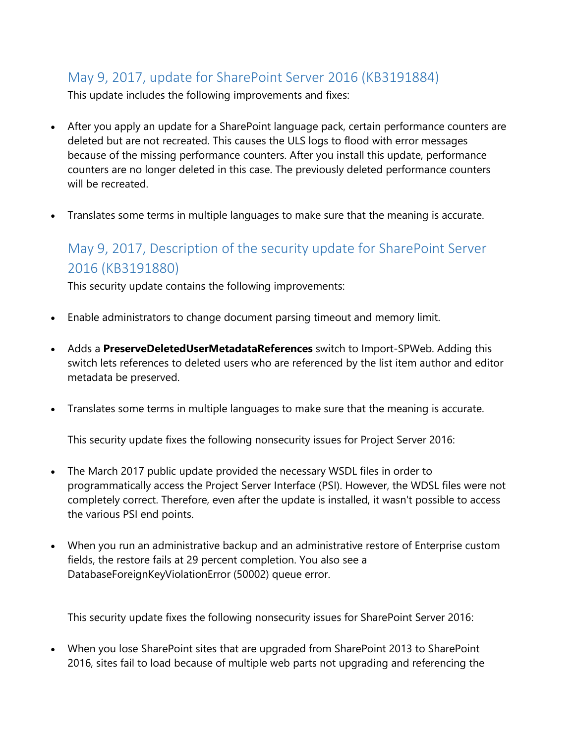#### <span id="page-6-0"></span>May 9, 2017, update for SharePoint Server 2016 (KB3191884)

This update includes the following improvements and fixes:

- After you apply an update for a SharePoint language pack, certain performance counters are deleted but are not recreated. This causes the ULS logs to flood with error messages because of the missing performance counters. After you install this update, performance counters are no longer deleted in this case. The previously deleted performance counters will be recreated.
- Translates some terms in multiple languages to make sure that the meaning is accurate.

### <span id="page-6-1"></span>May 9, 2017, Description of the security update for SharePoint Server 2016 (KB3191880)

This security update contains the following improvements:

- Enable administrators to change document parsing timeout and memory limit.
- Adds a **PreserveDeletedUserMetadataReferences** switch to Import-SPWeb. Adding this switch lets references to deleted users who are referenced by the list item author and editor metadata be preserved.
- Translates some terms in multiple languages to make sure that the meaning is accurate.

This security update fixes the following nonsecurity issues for Project Server 2016:

- The March 2017 public update provided the necessary WSDL files in order to programmatically access the Project Server Interface (PSI). However, the WDSL files were not completely correct. Therefore, even after the update is installed, it wasn't possible to access the various PSI end points.
- When you run an administrative backup and an administrative restore of Enterprise custom fields, the restore fails at 29 percent completion. You also see a DatabaseForeignKeyViolationError (50002) queue error.

This security update fixes the following nonsecurity issues for SharePoint Server 2016:

• When you lose SharePoint sites that are upgraded from SharePoint 2013 to SharePoint 2016, sites fail to load because of multiple web parts not upgrading and referencing the